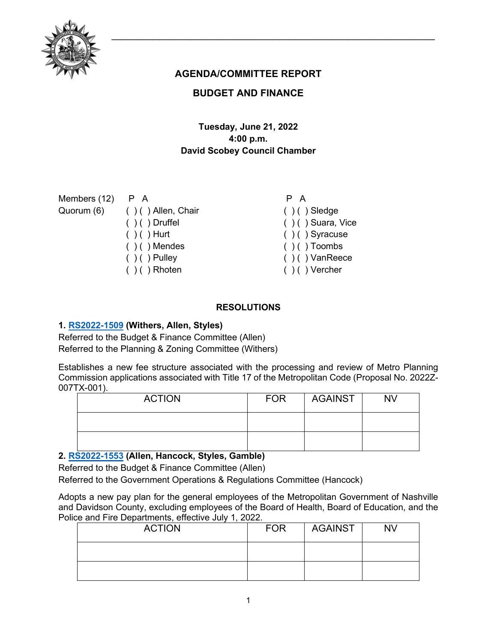

# **AGENDA/COMMITTEE REPORT**

# **BUDGET AND FINANCE**

# **Tuesday, June 21, 2022 4:00 p.m. David Scobey Council Chamber**

Members (12)

- Quorum (6)
- P A ( ) ( ) Allen, Chair ( ) ( ) Druffel  $( ) ( )$  Hurt  $( ) ( )$  Mendes  $( ) ( )$  Pulley  $( ) ( )$  Rhoten
- P A
- $( ) ( )$  Sledge ( ) ( ) Suara, Vice ( ) ( ) Syracuse
- $( ) ( )$  Toombs
- ( ) ( ) VanReece
- $( )$  ( ) Vercher

# **RESOLUTIONS**

# **1. [RS2022-1509](http://nashville.legistar.com/gateway.aspx?m=l&id=/matter.aspx?key=14422) (Withers, Allen, Styles)**

Referred to the Budget & Finance Committee (Allen) Referred to the Planning & Zoning Committee (Withers)

Establishes a new fee structure associated with the processing and review of Metro Planning Commission applications associated with Title 17 of the Metropolitan Code (Proposal No. 2022Z-007TX-001).

| <b>ACTION</b> | <b>FOR</b> | <b>AGAINST</b> | <b>NV</b> |
|---------------|------------|----------------|-----------|
|               |            |                |           |
|               |            |                |           |

# **2. [RS2022-1553](http://nashville.legistar.com/gateway.aspx?m=l&id=/matter.aspx?key=14587) (Allen, Hancock, Styles, Gamble)**

Referred to the Budget & Finance Committee (Allen)

Referred to the Government Operations & Regulations Committee (Hancock)

Adopts a new pay plan for the general employees of the Metropolitan Government of Nashville and Davidson County, excluding employees of the Board of Health, Board of Education, and the Police and Fire Departments, effective July 1, 2022.

| <b>ACTION</b> | <b>FOR</b> | <b>AGAINST</b> | <b>NV</b> |
|---------------|------------|----------------|-----------|
|               |            |                |           |
|               |            |                |           |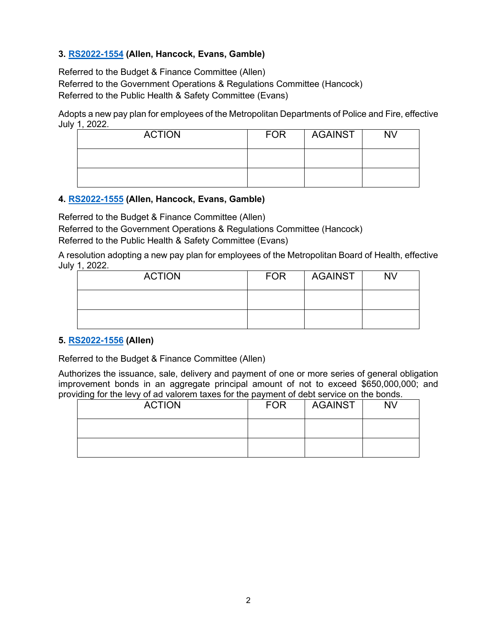# **3. [RS2022-1554](http://nashville.legistar.com/gateway.aspx?m=l&id=/matter.aspx?key=14588) (Allen, Hancock, Evans, Gamble)**

Referred to the Budget & Finance Committee (Allen) Referred to the Government Operations & Regulations Committee (Hancock) Referred to the Public Health & Safety Committee (Evans)

Adopts a new pay plan for employees of the Metropolitan Departments of Police and Fire, effective July 1, 2022.

| <b>ACTION</b> | <b>FOR</b> | AGAINST | <b>NV</b> |
|---------------|------------|---------|-----------|
|               |            |         |           |
|               |            |         |           |

# **4. [RS2022-1555](http://nashville.legistar.com/gateway.aspx?m=l&id=/matter.aspx?key=14589) (Allen, Hancock, Evans, Gamble)**

Referred to the Budget & Finance Committee (Allen)

Referred to the Government Operations & Regulations Committee (Hancock) Referred to the Public Health & Safety Committee (Evans)

A resolution adopting a new pay plan for employees of the Metropolitan Board of Health, effective July 1, 2022.

| <b>ACTION</b> | <b>FOR</b> | <b>AGAINST</b> | <b>NV</b> |
|---------------|------------|----------------|-----------|
|               |            |                |           |
|               |            |                |           |

### **5. [RS2022-1556](http://nashville.legistar.com/gateway.aspx?m=l&id=/matter.aspx?key=14606) (Allen)**

Referred to the Budget & Finance Committee (Allen)

Authorizes the issuance, sale, delivery and payment of one or more series of general obligation improvement bonds in an aggregate principal amount of not to exceed \$650,000,000; and providing for the levy of ad valorem taxes for the payment of debt service on the bonds.

| <b>ACTION</b> | <b>FOR</b> | <b>AGAINST</b> | <b>NV</b> |
|---------------|------------|----------------|-----------|
|               |            |                |           |
|               |            |                |           |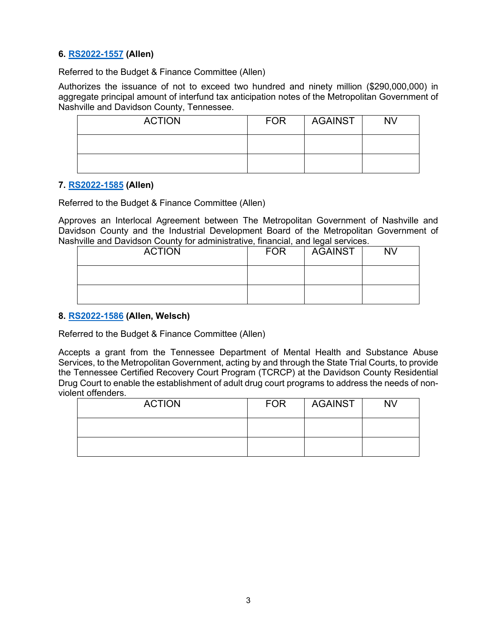### **6. [RS2022-1557](http://nashville.legistar.com/gateway.aspx?m=l&id=/matter.aspx?key=14599) (Allen)**

Referred to the Budget & Finance Committee (Allen)

Authorizes the issuance of not to exceed two hundred and ninety million (\$290,000,000) in aggregate principal amount of interfund tax anticipation notes of the Metropolitan Government of Nashville and Davidson County, Tennessee.

| <b>ACTION</b> | <b>FOR</b> | <b>AGAINST</b> | <b>NV</b> |
|---------------|------------|----------------|-----------|
|               |            |                |           |
|               |            |                |           |

#### **7. [RS2022-1585](http://nashville.legistar.com/gateway.aspx?m=l&id=/matter.aspx?key=14647) (Allen)**

Referred to the Budget & Finance Committee (Allen)

Approves an Interlocal Agreement between The Metropolitan Government of Nashville and Davidson County and the Industrial Development Board of the Metropolitan Government of Nashville and Davidson County for administrative, financial, and legal services.

| <b>ACTION</b> | <b>FOR</b> | <b>AGAINST</b> | <b>NV</b> |
|---------------|------------|----------------|-----------|
|               |            |                |           |
|               |            |                |           |

#### **8. [RS2022-1586](http://nashville.legistar.com/gateway.aspx?m=l&id=/matter.aspx?key=14630) (Allen, Welsch)**

Referred to the Budget & Finance Committee (Allen)

Accepts a grant from the Tennessee Department of Mental Health and Substance Abuse Services, to the Metropolitan Government, acting by and through the State Trial Courts, to provide the Tennessee Certified Recovery Court Program (TCRCP) at the Davidson County Residential Drug Court to enable the establishment of adult drug court programs to address the needs of nonviolent offenders.

| <b>ACTION</b> | <b>FOR</b> | <b>AGAINST</b> | <b>NV</b> |
|---------------|------------|----------------|-----------|
|               |            |                |           |
|               |            |                |           |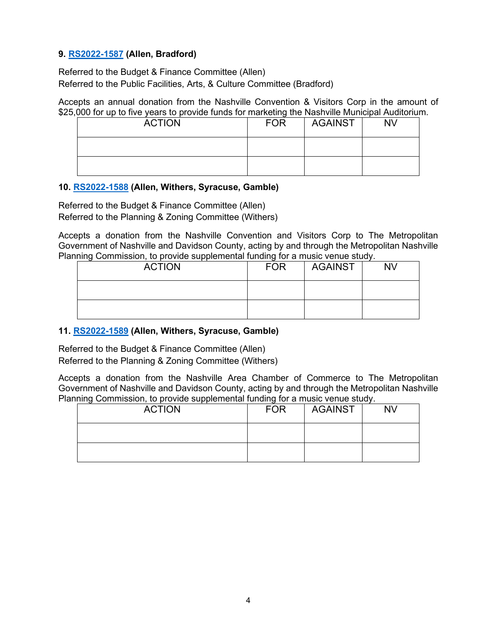# **9. [RS2022-1587](http://nashville.legistar.com/gateway.aspx?m=l&id=/matter.aspx?key=14637) (Allen, Bradford)**

Referred to the Budget & Finance Committee (Allen) Referred to the Public Facilities, Arts, & Culture Committee (Bradford)

Accepts an annual donation from the Nashville Convention & Visitors Corp in the amount of \$25,000 for up to five years to provide funds for marketing the Nashville Municipal Auditorium.

| <b>ACTION</b> | <b>FOR</b> | <b>AGAINST</b> | NV |
|---------------|------------|----------------|----|
|               |            |                |    |
|               |            |                |    |

#### **10. [RS2022-1588](http://nashville.legistar.com/gateway.aspx?m=l&id=/matter.aspx?key=14643) (Allen, Withers, Syracuse, Gamble)**

Referred to the Budget & Finance Committee (Allen) Referred to the Planning & Zoning Committee (Withers)

Accepts a donation from the Nashville Convention and Visitors Corp to The Metropolitan Government of Nashville and Davidson County, acting by and through the Metropolitan Nashville Planning Commission, to provide supplemental funding for a music venue study.

| <b>ACTION</b> | <b>FOR</b> | <b>AGAINST</b> | <b>NV</b> |
|---------------|------------|----------------|-----------|
|               |            |                |           |
|               |            |                |           |

## **11. [RS2022-1589](http://nashville.legistar.com/gateway.aspx?m=l&id=/matter.aspx?key=14644) (Allen, Withers, Syracuse, Gamble)**

Referred to the Budget & Finance Committee (Allen) Referred to the Planning & Zoning Committee (Withers)

Accepts a donation from the Nashville Area Chamber of Commerce to The Metropolitan Government of Nashville and Davidson County, acting by and through the Metropolitan Nashville Planning Commission, to provide supplemental funding for a music venue study.

| <b>ACTION</b> | <b>FOR</b> | <b>AGAINST</b> | <b>NV</b> |
|---------------|------------|----------------|-----------|
|               |            |                |           |
|               |            |                |           |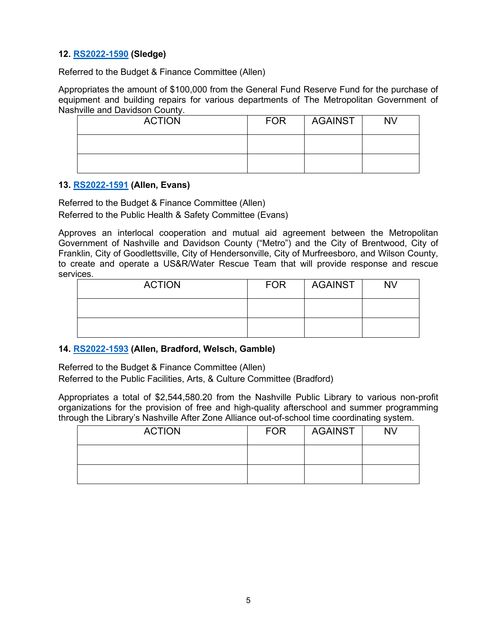# **12. [RS2022-1590](http://nashville.legistar.com/gateway.aspx?m=l&id=/matter.aspx?key=14659) (Sledge)**

Referred to the Budget & Finance Committee (Allen)

Appropriates the amount of \$100,000 from the General Fund Reserve Fund for the purchase of equipment and building repairs for various departments of The Metropolitan Government of Nashville and Davidson County.

| <b>ACTION</b> | <b>FOR</b> | <b>AGAINST</b> | <b>NV</b> |
|---------------|------------|----------------|-----------|
|               |            |                |           |
|               |            |                |           |

#### **13. [RS2022-1591](http://nashville.legistar.com/gateway.aspx?m=l&id=/matter.aspx?key=14629) (Allen, Evans)**

Referred to the Budget & Finance Committee (Allen) Referred to the Public Health & Safety Committee (Evans)

Approves an interlocal cooperation and mutual aid agreement between the Metropolitan Government of Nashville and Davidson County ("Metro") and the City of Brentwood, City of Franklin, City of Goodlettsville, City of Hendersonville, City of Murfreesboro, and Wilson County, to create and operate a US&R/Water Rescue Team that will provide response and rescue services.

| <b>ACTION</b> | <b>FOR</b> | AGAINST | <b>NV</b> |
|---------------|------------|---------|-----------|
|               |            |         |           |
|               |            |         |           |

### **14. [RS2022-1593](http://nashville.legistar.com/gateway.aspx?m=l&id=/matter.aspx?key=14645) (Allen, Bradford, Welsch, Gamble)**

Referred to the Budget & Finance Committee (Allen)

Referred to the Public Facilities, Arts, & Culture Committee (Bradford)

Appropriates a total of \$2,544,580.20 from the Nashville Public Library to various non-profit organizations for the provision of free and high-quality afterschool and summer programming through the Library's Nashville After Zone Alliance out-of-school time coordinating system.

| <b>ACTION</b> | <b>FOR</b> | AGAINST | <b>NV</b> |
|---------------|------------|---------|-----------|
|               |            |         |           |
|               |            |         |           |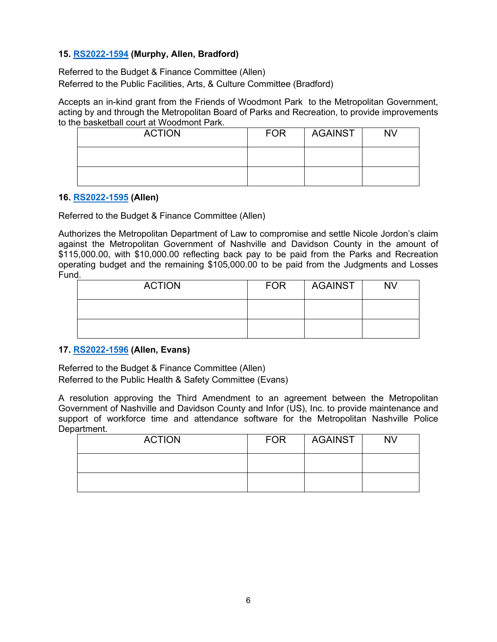# **15. [RS2022-1594](http://nashville.legistar.com/gateway.aspx?m=l&id=/matter.aspx?key=14636) (Murphy, Allen, Bradford)**

Referred to the Budget & Finance Committee (Allen) Referred to the Public Facilities, Arts, & Culture Committee (Bradford)

Accepts an in-kind grant from the Friends of Woodmont Park to the Metropolitan Government, acting by and through the Metropolitan Board of Parks and Recreation, to provide improvements to the basketball court at Woodmont Park.

| <b>ACTION</b> | <b>FOR</b> | <b>AGAINST</b> | <b>NV</b> |
|---------------|------------|----------------|-----------|
|               |            |                |           |
|               |            |                |           |

#### **16. [RS2022-1595](http://nashville.legistar.com/gateway.aspx?m=l&id=/matter.aspx?key=14641) (Allen)**

Referred to the Budget & Finance Committee (Allen)

Authorizes the Metropolitan Department of Law to compromise and settle Nicole Jordon's claim against the Metropolitan Government of Nashville and Davidson County in the amount of \$115,000.00, with \$10,000.00 reflecting back pay to be paid from the Parks and Recreation operating budget and the remaining \$105,000.00 to be paid from the Judgments and Losses Fund.

| <b>ACTION</b> | <b>FOR</b> | AGAINST | <b>NV</b> |
|---------------|------------|---------|-----------|
|               |            |         |           |
|               |            |         |           |

### **17. [RS2022-1596](http://nashville.legistar.com/gateway.aspx?m=l&id=/matter.aspx?key=14626) (Allen, Evans)**

Referred to the Budget & Finance Committee (Allen) Referred to the Public Health & Safety Committee (Evans)

A resolution approving the Third Amendment to an agreement between the Metropolitan Government of Nashville and Davidson County and Infor (US), Inc. to provide maintenance and support of workforce time and attendance software for the Metropolitan Nashville Police Department.

| <b>ACTION</b> | <b>FOR</b> | AGAINST | <b>NV</b> |
|---------------|------------|---------|-----------|
|               |            |         |           |
|               |            |         |           |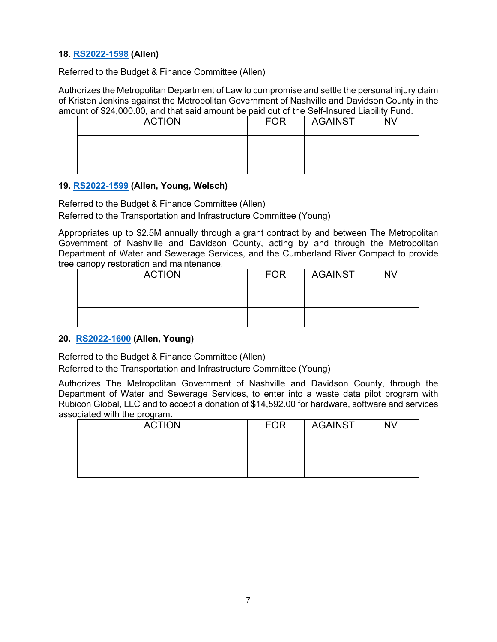# **18. [RS2022-1598](http://nashville.legistar.com/gateway.aspx?m=l&id=/matter.aspx?key=14640) (Allen)**

Referred to the Budget & Finance Committee (Allen)

Authorizes the Metropolitan Department of Law to compromise and settle the personal injury claim of Kristen Jenkins against the Metropolitan Government of Nashville and Davidson County in the amount of \$24,000.00, and that said amount be paid out of the Self-Insured Liability Fund.

| <b>ACTION</b> | <b>FOR</b> | <b>AGAINST</b> | <b>NV</b> |
|---------------|------------|----------------|-----------|
|               |            |                |           |
|               |            |                |           |

#### **19. [RS2022-1599](http://nashville.legistar.com/gateway.aspx?m=l&id=/matter.aspx?key=14625) (Allen, Young, Welsch)**

Referred to the Budget & Finance Committee (Allen)

Referred to the Transportation and Infrastructure Committee (Young)

Appropriates up to \$2.5M annually through a grant contract by and between The Metropolitan Government of Nashville and Davidson County, acting by and through the Metropolitan Department of Water and Sewerage Services, and the Cumberland River Compact to provide tree canopy restoration and maintenance.

| <b>ACTION</b> | <b>FOR</b> | <b>AGAINST</b> | <b>NV</b> |
|---------------|------------|----------------|-----------|
|               |            |                |           |
|               |            |                |           |

### **20. [RS2022-1600](http://nashville.legistar.com/gateway.aspx?m=l&id=/matter.aspx?key=14635) (Allen, Young)**

Referred to the Budget & Finance Committee (Allen)

Referred to the Transportation and Infrastructure Committee (Young)

Authorizes The Metropolitan Government of Nashville and Davidson County, through the Department of Water and Sewerage Services, to enter into a waste data pilot program with Rubicon Global, LLC and to accept a donation of \$14,592.00 for hardware, software and services associated with the program.

| <b>ACTION</b> | <b>FOR</b> | AGAINST | <b>NV</b> |
|---------------|------------|---------|-----------|
|               |            |         |           |
|               |            |         |           |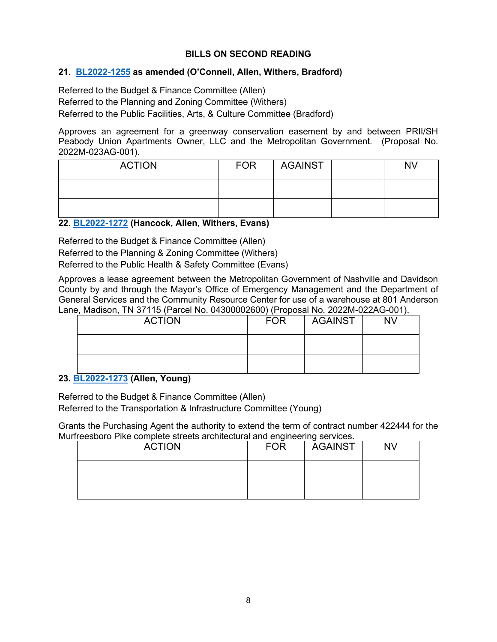# **BILLS ON SECOND READING**

### **21. [BL2022-1255](http://nashville.legistar.com/gateway.aspx?m=l&id=/matter.aspx?key=14461) as amended (O'Connell, Allen, Withers, Bradford)**

Referred to the Budget & Finance Committee (Allen) Referred to the Planning and Zoning Committee (Withers) Referred to the Public Facilities, Arts, & Culture Committee (Bradford)

Approves an agreement for a greenway conservation easement by and between PRII/SH Peabody Union Apartments Owner, LLC and the Metropolitan Government. (Proposal No. 2022M-023AG-001).

| <b>ACTION</b> | <b>FOR</b> | <b>AGAINST</b> | N٧ |
|---------------|------------|----------------|----|
|               |            |                |    |
|               |            |                |    |

### **22. [BL2022-1272](http://nashville.legistar.com/gateway.aspx?m=l&id=/matter.aspx?key=14521) (Hancock, Allen, Withers, Evans)**

Referred to the Budget & Finance Committee (Allen) Referred to the Planning & Zoning Committee (Withers) Referred to the Public Health & Safety Committee (Evans)

Approves a lease agreement between the Metropolitan Government of Nashville and Davidson County by and through the Mayor's Office of Emergency Management and the Department of General Services and the Community Resource Center for use of a warehouse at 801 Anderson Lane, Madison, TN 37115 (Parcel No. 04300002600) (Proposal No. 2022M-022AG-001).

| <b>ACTION</b> | <b>FOR</b> | AGAINST | <b>NV</b> |
|---------------|------------|---------|-----------|
|               |            |         |           |
|               |            |         |           |

### **23. [BL2022-1273](http://nashville.legistar.com/gateway.aspx?m=l&id=/matter.aspx?key=14583) (Allen, Young)**

Referred to the Budget & Finance Committee (Allen) Referred to the Transportation & Infrastructure Committee (Young)

Grants the Purchasing Agent the authority to extend the term of contract number 422444 for the Murfreesboro Pike complete streets architectural and engineering services.

| <b>ACTION</b> | <b>FOR</b> | <b>AGAINST</b> | NV |
|---------------|------------|----------------|----|
|               |            |                |    |
|               |            |                |    |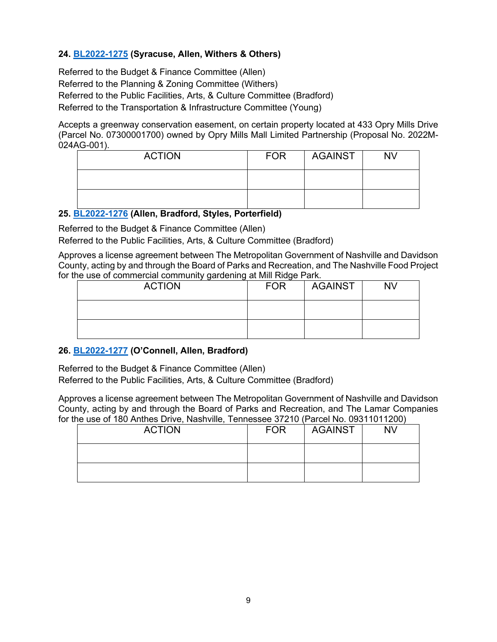# **24. [BL2022-1275](http://nashville.legistar.com/gateway.aspx?m=l&id=/matter.aspx?key=14604) (Syracuse, Allen, Withers & Others)**

Referred to the Budget & Finance Committee (Allen) Referred to the Planning & Zoning Committee (Withers) Referred to the Public Facilities, Arts, & Culture Committee (Bradford) Referred to the Transportation & Infrastructure Committee (Young)

Accepts a greenway conservation easement, on certain property located at 433 Opry Mills Drive (Parcel No. 07300001700) owned by Opry Mills Mall Limited Partnership (Proposal No. 2022M-024AG-001).

| <b>ACTION</b> | <b>FOR</b> | <b>AGAINST</b> | <b>NV</b> |
|---------------|------------|----------------|-----------|
|               |            |                |           |
|               |            |                |           |

### **25. [BL2022-1276](http://nashville.legistar.com/gateway.aspx?m=l&id=/matter.aspx?key=14526) (Allen, Bradford, Styles, Porterfield)**

Referred to the Budget & Finance Committee (Allen)

Referred to the Public Facilities, Arts, & Culture Committee (Bradford)

Approves a license agreement between The Metropolitan Government of Nashville and Davidson County, acting by and through the Board of Parks and Recreation, and The Nashville Food Project for the use of commercial community gardening at Mill Ridge Park.

| <b>ACTION</b> | <b>FOR</b> | <b>AGAINST</b> | <b>NV</b> |
|---------------|------------|----------------|-----------|
|               |            |                |           |
|               |            |                |           |

### **26. [BL2022-1277](http://nashville.legistar.com/gateway.aspx?m=l&id=/matter.aspx?key=14527) (O'Connell, Allen, Bradford)**

Referred to the Budget & Finance Committee (Allen)

Referred to the Public Facilities, Arts, & Culture Committee (Bradford)

Approves a license agreement between The Metropolitan Government of Nashville and Davidson County, acting by and through the Board of Parks and Recreation, and The Lamar Companies for the use of 180 Anthes Drive, Nashville, Tennessee 37210 (Parcel No. 09311011200)

| <b>ACTION</b> | <b>FOR</b> | <b>AGAINST</b> | <b>NV</b> |
|---------------|------------|----------------|-----------|
|               |            |                |           |
|               |            |                |           |